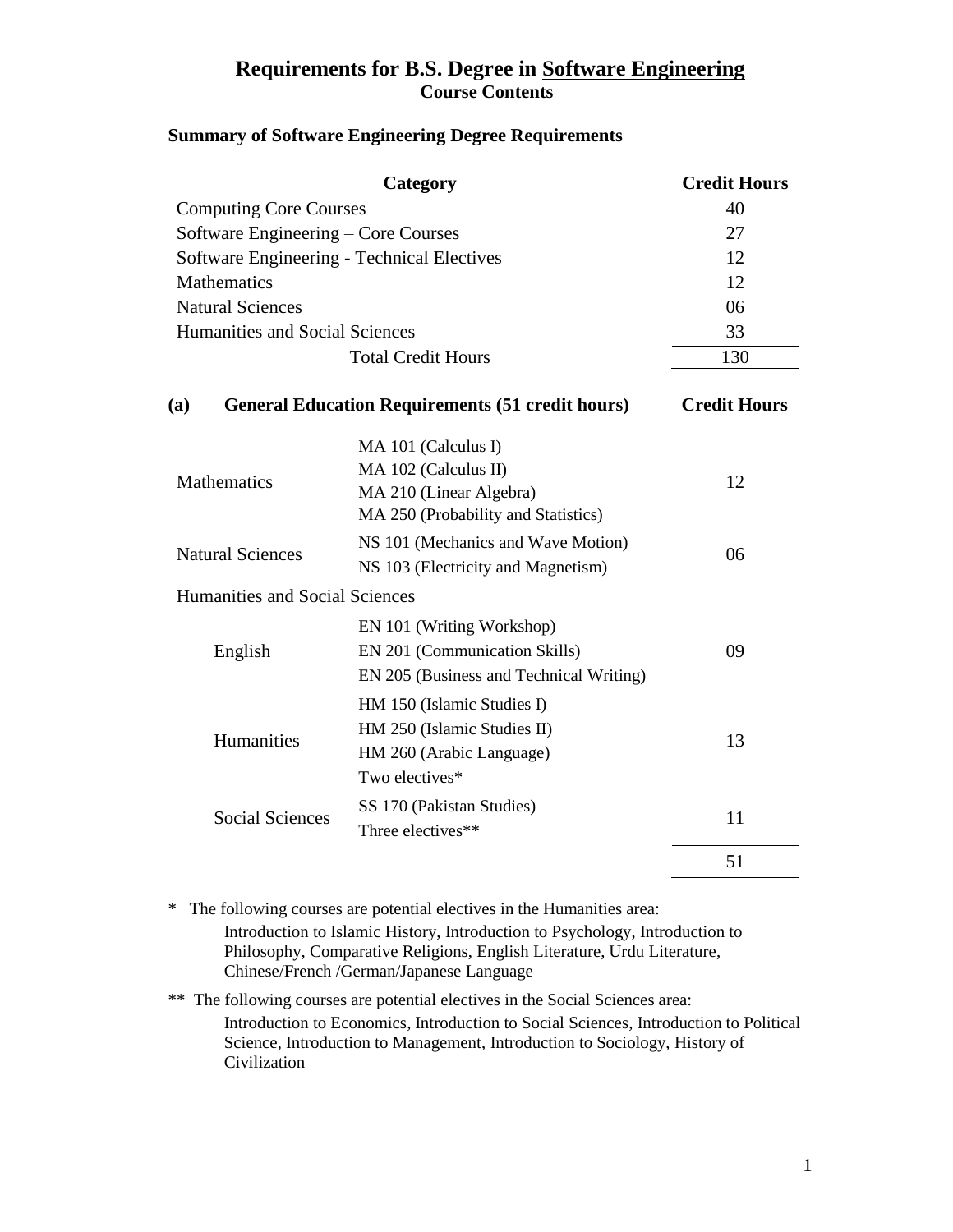## **Requirements for B.S. Degree in Software Engineering Course Contents**

#### **Summary of Software Engineering Degree Requirements**

| Category                                   |                                                                                                               | <b>Credit Hours</b> |
|--------------------------------------------|---------------------------------------------------------------------------------------------------------------|---------------------|
| <b>Computing Core Courses</b>              |                                                                                                               | 40                  |
| Software Engineering – Core Courses        |                                                                                                               | 27                  |
| Software Engineering - Technical Electives |                                                                                                               | 12                  |
| <b>Mathematics</b>                         |                                                                                                               | 12                  |
| <b>Natural Sciences</b>                    |                                                                                                               | 06                  |
| <b>Humanities and Social Sciences</b>      |                                                                                                               | 33                  |
| <b>Total Credit Hours</b>                  |                                                                                                               | 130                 |
| (a)                                        | <b>General Education Requirements (51 credit hours)</b>                                                       | <b>Credit Hours</b> |
| <b>Mathematics</b>                         | MA 101 (Calculus I)<br>MA 102 (Calculus II)<br>MA 210 (Linear Algebra)<br>MA 250 (Probability and Statistics) | 12                  |
| <b>Natural Sciences</b>                    | NS 101 (Mechanics and Wave Motion)<br>NS 103 (Electricity and Magnetism)                                      | 06                  |
| <b>Humanities and Social Sciences</b>      |                                                                                                               |                     |
| English                                    | EN 101 (Writing Workshop)<br>EN 201 (Communication Skills)<br>EN 205 (Business and Technical Writing)         | 09                  |
| Humanities                                 | HM 150 (Islamic Studies I)<br>HM 250 (Islamic Studies II)<br>HM 260 (Arabic Language)<br>Two electives*       | 13                  |
| <b>Social Sciences</b>                     | SS 170 (Pakistan Studies)<br>Three electives**                                                                | 11                  |
|                                            |                                                                                                               | 51                  |

\* The following courses are potential electives in the Humanities area: Introduction to Islamic History, Introduction to Psychology, Introduction to Philosophy, Comparative Religions, English Literature, Urdu Literature, Chinese/French /German/Japanese Language

\*\* The following courses are potential electives in the Social Sciences area: Introduction to Economics, Introduction to Social Sciences, Introduction to Political Science, Introduction to Management, Introduction to Sociology, History of Civilization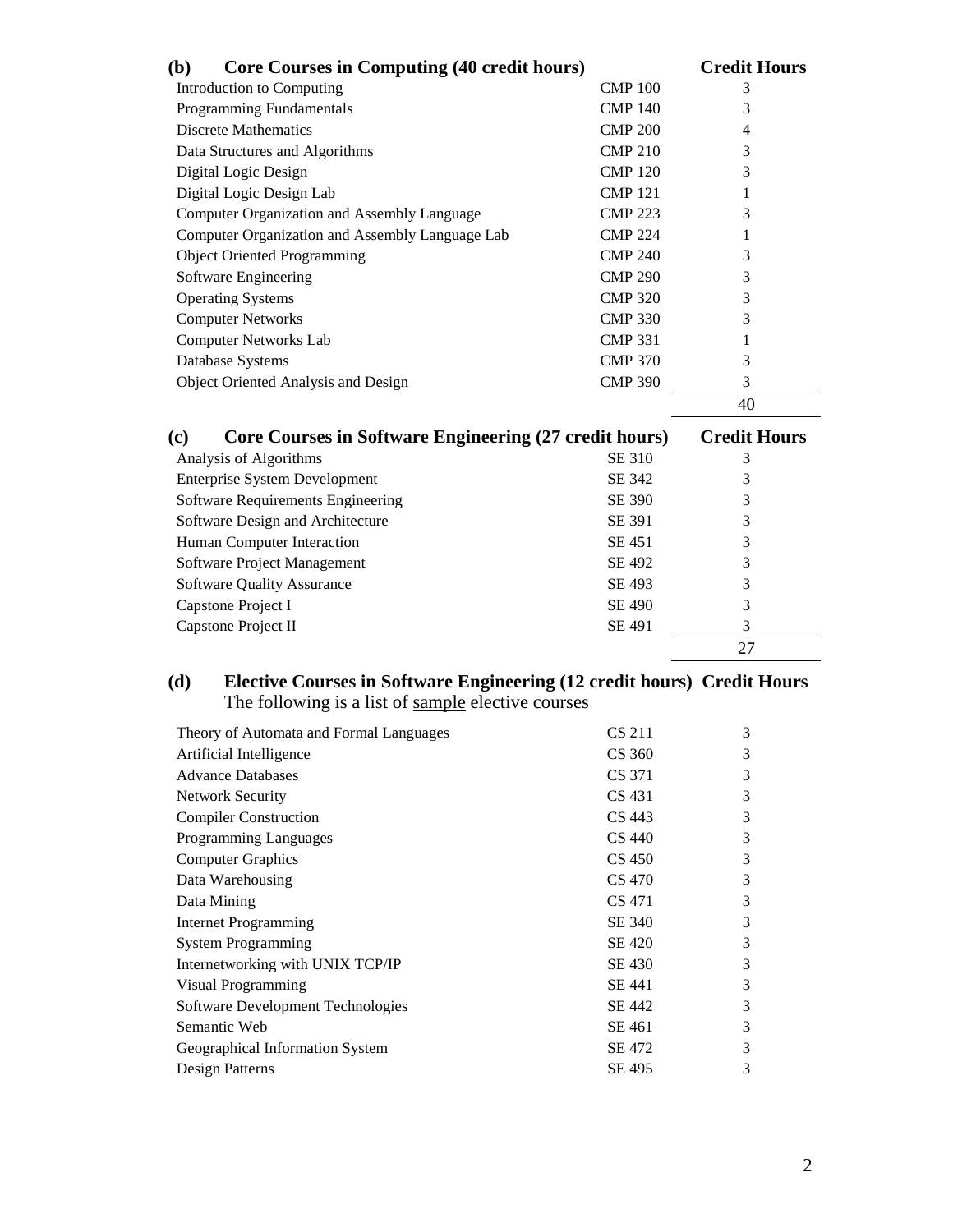| <b>Core Courses in Computing (40 credit hours)</b><br><b>(b)</b> |                | <b>Credit Hours</b> |
|------------------------------------------------------------------|----------------|---------------------|
| Introduction to Computing                                        | <b>CMP 100</b> | 3                   |
| Programming Fundamentals                                         | <b>CMP 140</b> | 3                   |
| <b>Discrete Mathematics</b>                                      | <b>CMP 200</b> | 4                   |
| Data Structures and Algorithms                                   | <b>CMP 210</b> | 3                   |
| Digital Logic Design                                             | <b>CMP 120</b> | 3                   |
| Digital Logic Design Lab                                         | <b>CMP 121</b> | 1                   |
| Computer Organization and Assembly Language                      | <b>CMP 223</b> | 3                   |
| Computer Organization and Assembly Language Lab                  | <b>CMP 224</b> | 1                   |
| <b>Object Oriented Programming</b>                               | <b>CMP 240</b> | 3                   |
| Software Engineering                                             | <b>CMP 290</b> | 3                   |
| <b>Operating Systems</b>                                         | <b>CMP 320</b> | 3                   |
| <b>Computer Networks</b>                                         | <b>CMP 330</b> | 3                   |
| <b>Computer Networks Lab</b>                                     | <b>CMP 331</b> | 1                   |
| Database Systems                                                 | <b>CMP 370</b> | 3                   |
| Object Oriented Analysis and Design                              | <b>CMP 390</b> | 3                   |
|                                                                  |                | 40                  |
| Core Courses in Software Engineering (27 credit hours)<br>(c)    |                | <b>Credit Hours</b> |
| Analysis of Algorithms                                           | SE 310         | 3                   |
| <b>Enterprise System Development</b>                             | SE 342         | 3                   |
| Software Requirements Engineering                                | SE 390         | 3                   |
| Software Design and Architecture                                 | SE 391         | 3                   |
| Human Computer Interaction                                       | SE 451         | 3                   |
| Software Project Management                                      | SE 492         | 3                   |
| <b>Software Quality Assurance</b>                                | SE 493         | 3                   |

| $5010$ and $80001$ and $10001$ | --- --        | - |  |
|--------------------------------|---------------|---|--|
| Capstone Project I             | SE 490        |   |  |
| Capstone Project II            | <b>SE 491</b> |   |  |
|                                |               |   |  |
|                                |               |   |  |

#### **(d) Elective Courses in Software Engineering (12 credit hours) Credit Hours** The following is a list of sample elective courses

| Theory of Automata and Formal Languages | CS 211        | 3 |
|-----------------------------------------|---------------|---|
| Artificial Intelligence                 | CS 360        | 3 |
| <b>Advance Databases</b>                | CS 371        | 3 |
| <b>Network Security</b>                 | CS 431        | 3 |
| <b>Compiler Construction</b>            | CS 443        | 3 |
| <b>Programming Languages</b>            | CS 440        | 3 |
| <b>Computer Graphics</b>                | <b>CS 450</b> | 3 |
| Data Warehousing                        | CS 470        | 3 |
| Data Mining                             | CS 471        | 3 |
| <b>Internet Programming</b>             | SE 340        | 3 |
| <b>System Programming</b>               | <b>SE 420</b> | 3 |
| Internetworking with UNIX TCP/IP        | SE 430        | 3 |
| <b>Visual Programming</b>               | SE 441        | 3 |
| Software Development Technologies       | SE 442        | 3 |
| Semantic Web                            | SE 461        | 3 |
| Geographical Information System         | SE 472        | 3 |
| Design Patterns                         | SE 495        | 3 |